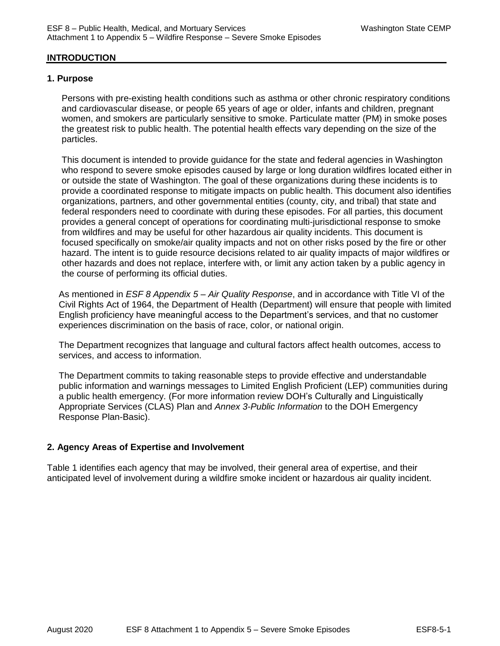## **INTRODUCTION**

#### **1. Purpose**

Persons with pre-existing health conditions such as asthma or other chronic respiratory conditions and cardiovascular disease, or people 65 years of age or older, infants and children, pregnant women, and smokers are particularly sensitive to smoke. Particulate matter (PM) in smoke poses the greatest risk to public health. The potential health effects vary depending on the size of the particles.

This document is intended to provide guidance for the state and federal agencies in Washington who respond to severe smoke episodes caused by large or long duration wildfires located either in or outside the state of Washington. The goal of these organizations during these incidents is to provide a coordinated response to mitigate impacts on public health. This document also identifies organizations, partners, and other governmental entities (county, city, and tribal) that state and federal responders need to coordinate with during these episodes. For all parties, this document provides a general concept of operations for coordinating multi-jurisdictional response to smoke from wildfires and may be useful for other hazardous air quality incidents. This document is focused specifically on smoke/air quality impacts and not on other risks posed by the fire or other hazard. The intent is to guide resource decisions related to air quality impacts of major wildfires or other hazards and does not replace, interfere with, or limit any action taken by a public agency in the course of performing its official duties.

As mentioned in *ESF 8 Appendix 5 – Air Quality Response*, and in accordance with Title VI of the Civil Rights Act of 1964, the Department of Health (Department) will ensure that people with limited English proficiency have meaningful access to the Department's services, and that no customer experiences discrimination on the basis of race, color, or national origin.

The Department recognizes that language and cultural factors affect health outcomes, access to services, and access to information.

The Department commits to taking reasonable steps to provide effective and understandable public information and warnings messages to Limited English Proficient (LEP) communities during a public health emergency. (For more information review DOH's Culturally and Linguistically Appropriate Services (CLAS) Plan and *Annex 3-Public Information* to the DOH Emergency Response Plan-Basic).

#### **2. Agency Areas of Expertise and Involvement**

Table 1 identifies each agency that may be involved, their general area of expertise, and their anticipated level of involvement during a wildfire smoke incident or hazardous air quality incident.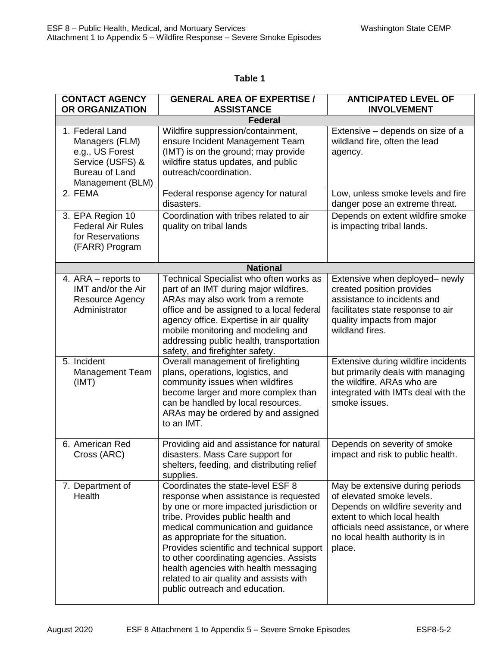## **Table 1**

| <b>CONTACT AGENCY</b><br>OR ORGANIZATION                                                                              | <b>GENERAL AREA OF EXPERTISE /</b><br><b>ASSISTANCE</b>                                                                                                                                                                                                                                                                                                                                                                                             | <b>ANTICIPATED LEVEL OF</b><br><b>INVOLVEMENT</b>                                                                                                                                                                    |
|-----------------------------------------------------------------------------------------------------------------------|-----------------------------------------------------------------------------------------------------------------------------------------------------------------------------------------------------------------------------------------------------------------------------------------------------------------------------------------------------------------------------------------------------------------------------------------------------|----------------------------------------------------------------------------------------------------------------------------------------------------------------------------------------------------------------------|
|                                                                                                                       | <b>Federal</b>                                                                                                                                                                                                                                                                                                                                                                                                                                      |                                                                                                                                                                                                                      |
| 1. Federal Land<br>Managers (FLM)<br>e.g., US Forest<br>Service (USFS) &<br><b>Bureau of Land</b><br>Management (BLM) | Wildfire suppression/containment,<br>ensure Incident Management Team<br>(IMT) is on the ground; may provide<br>wildfire status updates, and public<br>outreach/coordination.                                                                                                                                                                                                                                                                        | Extensive - depends on size of a<br>wildland fire, often the lead<br>agency.                                                                                                                                         |
| 2. FEMA                                                                                                               | Federal response agency for natural<br>disasters.                                                                                                                                                                                                                                                                                                                                                                                                   | Low, unless smoke levels and fire<br>danger pose an extreme threat.                                                                                                                                                  |
| 3. EPA Region 10<br><b>Federal Air Rules</b><br>for Reservations<br>(FARR) Program                                    | Coordination with tribes related to air<br>quality on tribal lands                                                                                                                                                                                                                                                                                                                                                                                  | Depends on extent wildfire smoke<br>is impacting tribal lands.                                                                                                                                                       |
|                                                                                                                       | <b>National</b>                                                                                                                                                                                                                                                                                                                                                                                                                                     |                                                                                                                                                                                                                      |
| 4. ARA – reports to<br>IMT and/or the Air<br>Resource Agency<br>Administrator                                         | Technical Specialist who often works as<br>part of an IMT during major wildfires.<br>ARAs may also work from a remote<br>office and be assigned to a local federal<br>agency office. Expertise in air quality<br>mobile monitoring and modeling and<br>addressing public health, transportation<br>safety, and firefighter safety.                                                                                                                  | Extensive when deployed- newly<br>created position provides<br>assistance to incidents and<br>facilitates state response to air<br>quality impacts from major<br>wildland fires.                                     |
| 5. Incident<br><b>Management Team</b><br>(IMT)                                                                        | Overall management of firefighting<br>plans, operations, logistics, and<br>community issues when wildfires<br>become larger and more complex than<br>can be handled by local resources.<br>ARAs may be ordered by and assigned<br>to an IMT.                                                                                                                                                                                                        | Extensive during wildfire incidents<br>but primarily deals with managing<br>the wildfire. ARAs who are<br>integrated with IMTs deal with the<br>smoke issues.                                                        |
| 6. American Red<br>Cross (ARC)                                                                                        | Providing aid and assistance for natural<br>disasters. Mass Care support for<br>shelters, feeding, and distributing relief<br>supplies.                                                                                                                                                                                                                                                                                                             | Depends on severity of smoke<br>impact and risk to public health.                                                                                                                                                    |
| 7. Department of<br>Health                                                                                            | Coordinates the state-level ESF 8<br>response when assistance is requested<br>by one or more impacted jurisdiction or<br>tribe. Provides public health and<br>medical communication and guidance<br>as appropriate for the situation.<br>Provides scientific and technical support<br>to other coordinating agencies. Assists<br>health agencies with health messaging<br>related to air quality and assists with<br>public outreach and education. | May be extensive during periods<br>of elevated smoke levels.<br>Depends on wildfire severity and<br>extent to which local health<br>officials need assistance, or where<br>no local health authority is in<br>place. |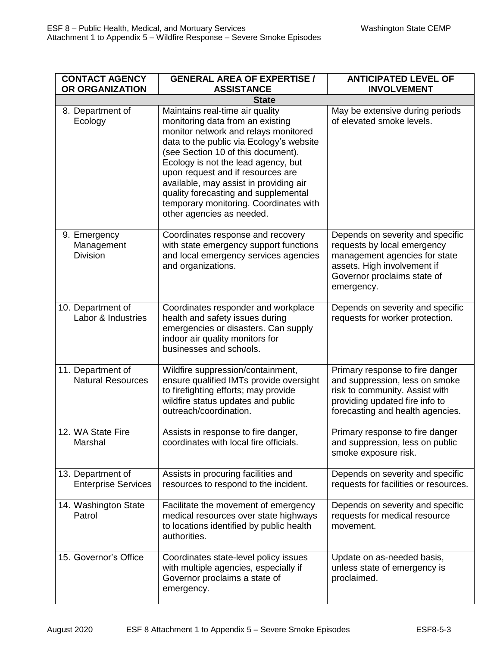| <b>CONTACT AGENCY</b><br>OR ORGANIZATION        | <b>GENERAL AREA OF EXPERTISE /</b><br><b>ASSISTANCE</b>                                                                                                                                                                                                                                                                                                                                                                            | <b>ANTICIPATED LEVEL OF</b><br><b>INVOLVEMENT</b>                                                                                                                            |
|-------------------------------------------------|------------------------------------------------------------------------------------------------------------------------------------------------------------------------------------------------------------------------------------------------------------------------------------------------------------------------------------------------------------------------------------------------------------------------------------|------------------------------------------------------------------------------------------------------------------------------------------------------------------------------|
|                                                 | <b>State</b>                                                                                                                                                                                                                                                                                                                                                                                                                       |                                                                                                                                                                              |
| 8. Department of<br>Ecology                     | Maintains real-time air quality<br>monitoring data from an existing<br>monitor network and relays monitored<br>data to the public via Ecology's website<br>(see Section 10 of this document).<br>Ecology is not the lead agency, but<br>upon request and if resources are<br>available, may assist in providing air<br>quality forecasting and supplemental<br>temporary monitoring. Coordinates with<br>other agencies as needed. | May be extensive during periods<br>of elevated smoke levels.                                                                                                                 |
| 9. Emergency<br>Management<br><b>Division</b>   | Coordinates response and recovery<br>with state emergency support functions<br>and local emergency services agencies<br>and organizations.                                                                                                                                                                                                                                                                                         | Depends on severity and specific<br>requests by local emergency<br>management agencies for state<br>assets. High involvement if<br>Governor proclaims state of<br>emergency. |
| 10. Department of<br>Labor & Industries         | Coordinates responder and workplace<br>health and safety issues during<br>emergencies or disasters. Can supply<br>indoor air quality monitors for<br>businesses and schools.                                                                                                                                                                                                                                                       | Depends on severity and specific<br>requests for worker protection.                                                                                                          |
| 11. Department of<br><b>Natural Resources</b>   | Wildfire suppression/containment,<br>ensure qualified IMTs provide oversight<br>to firefighting efforts; may provide<br>wildfire status updates and public<br>outreach/coordination.                                                                                                                                                                                                                                               | Primary response to fire danger<br>and suppression, less on smoke<br>risk to community. Assist with<br>providing updated fire info to<br>forecasting and health agencies.    |
| 12. WA State Fire<br>Marshal                    | Assists in response to fire danger,<br>coordinates with local fire officials.                                                                                                                                                                                                                                                                                                                                                      | Primary response to fire danger<br>and suppression, less on public<br>smoke exposure risk.                                                                                   |
| 13. Department of<br><b>Enterprise Services</b> | Assists in procuring facilities and<br>resources to respond to the incident.                                                                                                                                                                                                                                                                                                                                                       | Depends on severity and specific<br>requests for facilities or resources.                                                                                                    |
| 14. Washington State<br>Patrol                  | Facilitate the movement of emergency<br>medical resources over state highways<br>to locations identified by public health<br>authorities.                                                                                                                                                                                                                                                                                          | Depends on severity and specific<br>requests for medical resource<br>movement.                                                                                               |
| 15. Governor's Office                           | Coordinates state-level policy issues<br>with multiple agencies, especially if<br>Governor proclaims a state of<br>emergency.                                                                                                                                                                                                                                                                                                      | Update on as-needed basis,<br>unless state of emergency is<br>proclaimed.                                                                                                    |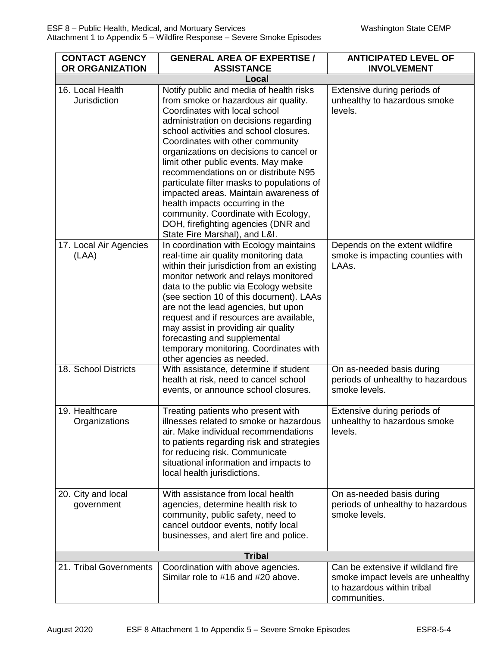| <b>CONTACT AGENCY</b><br>OR ORGANIZATION | <b>GENERAL AREA OF EXPERTISE /</b><br><b>ASSISTANCE</b>                                                                                                                                                                                                                                                                                                                                                                                                                                                                                                                                                    | <b>ANTICIPATED LEVEL OF</b><br><b>INVOLVEMENT</b>                                                                    |
|------------------------------------------|------------------------------------------------------------------------------------------------------------------------------------------------------------------------------------------------------------------------------------------------------------------------------------------------------------------------------------------------------------------------------------------------------------------------------------------------------------------------------------------------------------------------------------------------------------------------------------------------------------|----------------------------------------------------------------------------------------------------------------------|
|                                          | Local                                                                                                                                                                                                                                                                                                                                                                                                                                                                                                                                                                                                      |                                                                                                                      |
| 16. Local Health<br><b>Jurisdiction</b>  | Notify public and media of health risks<br>from smoke or hazardous air quality.<br>Coordinates with local school<br>administration on decisions regarding<br>school activities and school closures.<br>Coordinates with other community<br>organizations on decisions to cancel or<br>limit other public events. May make<br>recommendations on or distribute N95<br>particulate filter masks to populations of<br>impacted areas. Maintain awareness of<br>health impacts occurring in the<br>community. Coordinate with Ecology,<br>DOH, firefighting agencies (DNR and<br>State Fire Marshal), and L&I. | Extensive during periods of<br>unhealthy to hazardous smoke<br>levels.                                               |
| 17. Local Air Agencies<br>(LAA)          | In coordination with Ecology maintains<br>real-time air quality monitoring data<br>within their jurisdiction from an existing<br>monitor network and relays monitored<br>data to the public via Ecology website<br>(see section 10 of this document). LAAs<br>are not the lead agencies, but upon<br>request and if resources are available,<br>may assist in providing air quality<br>forecasting and supplemental<br>temporary monitoring. Coordinates with<br>other agencies as needed.                                                                                                                 | Depends on the extent wildfire<br>smoke is impacting counties with<br>LAAs.                                          |
| 18. School Districts                     | With assistance, determine if student<br>health at risk, need to cancel school<br>events, or announce school closures.                                                                                                                                                                                                                                                                                                                                                                                                                                                                                     | On as-needed basis during<br>periods of unhealthy to hazardous<br>smoke levels.                                      |
| 19. Healthcare<br>Organizations          | Treating patients who present with<br>illnesses related to smoke or hazardous<br>air. Make individual recommendations<br>to patients regarding risk and strategies<br>for reducing risk. Communicate<br>situational information and impacts to<br>local health jurisdictions.                                                                                                                                                                                                                                                                                                                              | Extensive during periods of<br>unhealthy to hazardous smoke<br>levels.                                               |
| 20. City and local<br>government         | With assistance from local health<br>agencies, determine health risk to<br>community, public safety, need to<br>cancel outdoor events, notify local<br>businesses, and alert fire and police.                                                                                                                                                                                                                                                                                                                                                                                                              | On as-needed basis during<br>periods of unhealthy to hazardous<br>smoke levels.                                      |
|                                          | <b>Tribal</b>                                                                                                                                                                                                                                                                                                                                                                                                                                                                                                                                                                                              |                                                                                                                      |
| 21. Tribal Governments                   | Coordination with above agencies.<br>Similar role to #16 and #20 above.                                                                                                                                                                                                                                                                                                                                                                                                                                                                                                                                    | Can be extensive if wildland fire<br>smoke impact levels are unhealthy<br>to hazardous within tribal<br>communities. |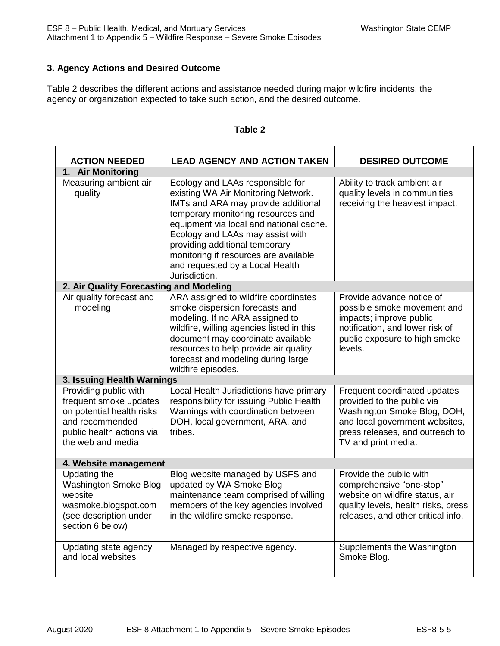## **3. Agency Actions and Desired Outcome**

Table 2 describes the different actions and assistance needed during major wildfire incidents, the agency or organization expected to take such action, and the desired outcome.

| <b>ACTION NEEDED</b>                                                                                                                              | <b>LEAD AGENCY AND ACTION TAKEN</b>                                                                                                                                                                                                                                                                                                                                | <b>DESIRED OUTCOME</b>                                                                                                                                                                |  |
|---------------------------------------------------------------------------------------------------------------------------------------------------|--------------------------------------------------------------------------------------------------------------------------------------------------------------------------------------------------------------------------------------------------------------------------------------------------------------------------------------------------------------------|---------------------------------------------------------------------------------------------------------------------------------------------------------------------------------------|--|
| 1. Air Monitoring                                                                                                                                 |                                                                                                                                                                                                                                                                                                                                                                    |                                                                                                                                                                                       |  |
| Measuring ambient air<br>quality                                                                                                                  | Ecology and LAAs responsible for<br>existing WA Air Monitoring Network.<br>IMTs and ARA may provide additional<br>temporary monitoring resources and<br>equipment via local and national cache.<br>Ecology and LAAs may assist with<br>providing additional temporary<br>monitoring if resources are available<br>and requested by a Local Health<br>Jurisdiction. | Ability to track ambient air<br>quality levels in communities<br>receiving the heaviest impact.                                                                                       |  |
| 2. Air Quality Forecasting and Modeling                                                                                                           |                                                                                                                                                                                                                                                                                                                                                                    |                                                                                                                                                                                       |  |
| Air quality forecast and<br>modeling                                                                                                              | ARA assigned to wildfire coordinates<br>smoke dispersion forecasts and<br>modeling. If no ARA assigned to<br>wildfire, willing agencies listed in this<br>document may coordinate available<br>resources to help provide air quality<br>forecast and modeling during large<br>wildfire episodes.                                                                   | Provide advance notice of<br>possible smoke movement and<br>impacts; improve public<br>notification, and lower risk of<br>public exposure to high smoke<br>levels.                    |  |
| 3. Issuing Health Warnings                                                                                                                        |                                                                                                                                                                                                                                                                                                                                                                    |                                                                                                                                                                                       |  |
| Providing public with<br>frequent smoke updates<br>on potential health risks<br>and recommended<br>public health actions via<br>the web and media | Local Health Jurisdictions have primary<br>responsibility for issuing Public Health<br>Warnings with coordination between<br>DOH, local government, ARA, and<br>tribes.                                                                                                                                                                                            | Frequent coordinated updates<br>provided to the public via<br>Washington Smoke Blog, DOH,<br>and local government websites,<br>press releases, and outreach to<br>TV and print media. |  |
| 4. Website management                                                                                                                             |                                                                                                                                                                                                                                                                                                                                                                    |                                                                                                                                                                                       |  |
| Updating the<br><b>Washington Smoke Blog</b><br>website<br>wasmoke.blogspot.com<br>(see description under<br>section 6 below)                     | Blog website managed by USFS and<br>updated by WA Smoke Blog<br>maintenance team comprised of willing<br>members of the key agencies involved<br>in the wildfire smoke response.                                                                                                                                                                                   | Provide the public with<br>comprehensive "one-stop"<br>website on wildfire status, air<br>quality levels, health risks, press<br>releases, and other critical info.                   |  |
| Updating state agency<br>and local websites                                                                                                       | Managed by respective agency.                                                                                                                                                                                                                                                                                                                                      | Supplements the Washington<br>Smoke Blog.                                                                                                                                             |  |

#### **Table 2**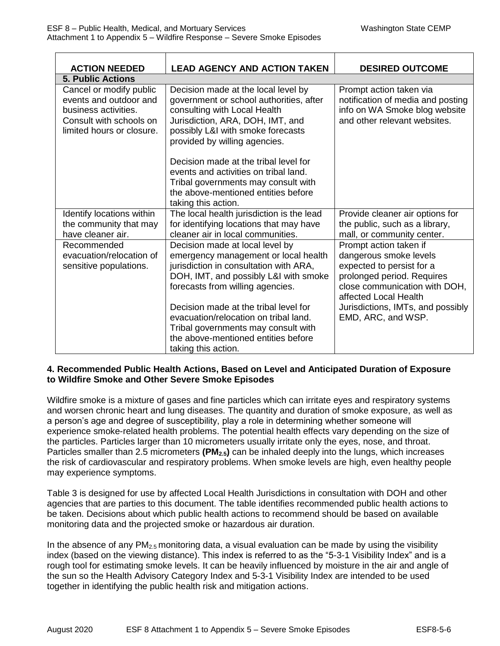| <b>ACTION NEEDED</b>                                                                                                              | <b>LEAD AGENCY AND ACTION TAKEN</b>                                                                                                                                                                                                                                                                                                                                                   | <b>DESIRED OUTCOME</b>                                                                                                                                                                                                           |
|-----------------------------------------------------------------------------------------------------------------------------------|---------------------------------------------------------------------------------------------------------------------------------------------------------------------------------------------------------------------------------------------------------------------------------------------------------------------------------------------------------------------------------------|----------------------------------------------------------------------------------------------------------------------------------------------------------------------------------------------------------------------------------|
| <b>5. Public Actions</b>                                                                                                          |                                                                                                                                                                                                                                                                                                                                                                                       |                                                                                                                                                                                                                                  |
| Cancel or modify public<br>events and outdoor and<br>business activities.<br>Consult with schools on<br>limited hours or closure. | Decision made at the local level by<br>government or school authorities, after<br>consulting with Local Health<br>Jurisdiction, ARA, DOH, IMT, and<br>possibly L&I with smoke forecasts<br>provided by willing agencies.                                                                                                                                                              | Prompt action taken via<br>notification of media and posting<br>info on WA Smoke blog website<br>and other relevant websites.                                                                                                    |
|                                                                                                                                   | Decision made at the tribal level for<br>events and activities on tribal land.<br>Tribal governments may consult with<br>the above-mentioned entities before<br>taking this action.                                                                                                                                                                                                   |                                                                                                                                                                                                                                  |
| Identify locations within<br>the community that may<br>have cleaner air.                                                          | The local health jurisdiction is the lead<br>for identifying locations that may have<br>cleaner air in local communities.                                                                                                                                                                                                                                                             | Provide cleaner air options for<br>the public, such as a library,<br>mall, or community center.                                                                                                                                  |
| Recommended<br>evacuation/relocation of<br>sensitive populations.                                                                 | Decision made at local level by<br>emergency management or local health<br>jurisdiction in consultation with ARA,<br>DOH, IMT, and possibly L&I with smoke<br>forecasts from willing agencies.<br>Decision made at the tribal level for<br>evacuation/relocation on tribal land.<br>Tribal governments may consult with<br>the above-mentioned entities before<br>taking this action. | Prompt action taken if<br>dangerous smoke levels<br>expected to persist for a<br>prolonged period. Requires<br>close communication with DOH,<br>affected Local Health<br>Jurisdictions, IMTs, and possibly<br>EMD, ARC, and WSP. |

#### **4. Recommended Public Health Actions, Based on Level and Anticipated Duration of Exposure to Wildfire Smoke and Other Severe Smoke Episodes**

Wildfire smoke is a mixture of gases and fine particles which can irritate eyes and respiratory systems and worsen chronic heart and lung diseases. The quantity and duration of smoke exposure, as well as a person's age and degree of susceptibility, play a role in determining whether someone will experience smoke-related health problems. The potential health effects vary depending on the size of the particles. Particles larger than 10 micrometers usually irritate only the eyes, nose, and throat. Particles smaller than 2.5 micrometers **(PM2.5)** can be inhaled deeply into the lungs, which increases the risk of cardiovascular and respiratory problems. When smoke levels are high, even healthy people may experience symptoms.

Table 3 is designed for use by affected Local Health Jurisdictions in consultation with DOH and other agencies that are parties to this document. The table identifies recommended public health actions to be taken. Decisions about which public health actions to recommend should be based on available monitoring data and the projected smoke or hazardous air duration.

In the absence of any  $PM_{2.5}$  monitoring data, a visual evaluation can be made by using the visibility index (based on the viewing distance). This index is referred to as the "5-3-1 Visibility Index" and is a rough tool for estimating smoke levels. It can be heavily influenced by moisture in the air and angle of the sun so the Health Advisory Category Index and 5-3-1 Visibility Index are intended to be used together in identifying the public health risk and mitigation actions.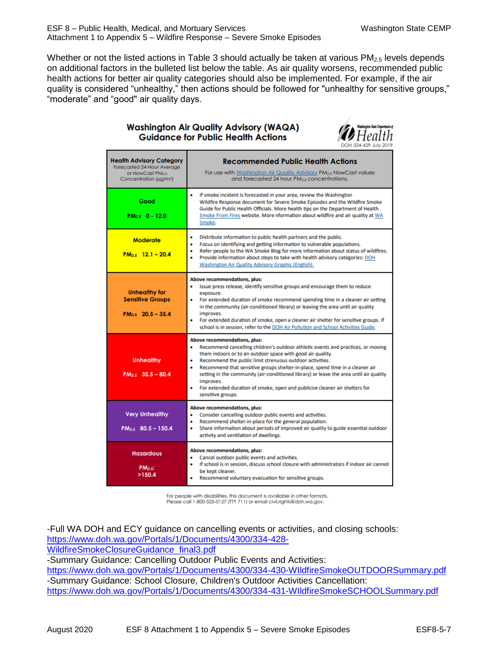Whether or not the listed actions in Table 3 should actually be taken at various  $PM<sub>2.5</sub>$  levels depends on additional factors in the bulleted list below the table. As air quality worsens, recommended public health actions for better air quality categories should also be implemented. For example, if the air quality is considered "unhealthy," then actions should be followed for "unhealthy for sensitive groups," "moderate" and "good" air quality days.

#### **Washington Air Quality Advisory (WAQA) Guidance for Public Health Actions**



| <b>Health Advisory Category</b><br>Forecasted 24-Hour Average<br>or NowCast PM2.5<br>Concentration (µg/m <sup>3</sup> ) | <b>Recommended Public Health Actions</b><br>For use with Washington Air Quality Advisory PM <sub>2.5</sub> NowCast values<br>and forecasted 24 hour PM <sub>25</sub> concentrations.                                                                                                                                                                                                                                                                                                                                                                  |
|-------------------------------------------------------------------------------------------------------------------------|-------------------------------------------------------------------------------------------------------------------------------------------------------------------------------------------------------------------------------------------------------------------------------------------------------------------------------------------------------------------------------------------------------------------------------------------------------------------------------------------------------------------------------------------------------|
| Good<br>$PM_{2.5}$ 0 - 12.0                                                                                             | If smoke incident is forecasted in your area, review the Washington<br>Wildfire Response document for Severe Smoke Episodes and the Wildfire Smoke<br>Guide for Public Health Officials. More health tips on the Department of Health<br>Smoke From Fires website. More nformation about wildfire and air quality at WA<br>Smoke.                                                                                                                                                                                                                     |
| <b>Moderate</b><br>$PM_{2.5}$ 12.1 – 20.4                                                                               | Distribute information to public health partners and the public.<br>٠<br>Focus on identifying and getting information to vulnerable populations.<br>٠<br>Refer people to the WA Smoke Blog for more information about status of wildfires.<br>٠<br>Provide information about steps to take with health advisory categories: DOH<br>Washington Air Quality Advisory Graphic (English).                                                                                                                                                                 |
| <b>Unhealthy for</b><br><b>Sensitive Groups</b><br>$PM_{2.5}$ 20.5 - 35.4                                               | Above recommendations, plus:<br>Issue press release, identify sensitive groups and encourage them to reduce<br>٠<br>exposure.<br>For extended duration of smoke recommend spending time in a cleaner air setting<br>٠<br>in the community (air-conditioned library) or leaving the area until air quality<br>improves.<br>For extended duration of smoke, open a cleaner air shelter for sensitive groups. If<br>school is in session, refer to the DOH Air Pollution and School Activities Guide.                                                    |
| <b>Unhealthy</b><br>$PM_{2.5}$ 35.5 - 80.4                                                                              | Above recommendations, plus:<br>Recommend cancelling children's outdoor athletic events and practices, or moving<br>٠<br>them indoors or to an outdoor space with good air quality.<br>Recommend the public limit strenuous outdoor activities.<br>٠<br>Recommend that sensitive groups shelter-in-place, spend time in a cleaner air<br>setting in the community (air-conditioned library) or leave the area until air quality<br>improves.<br>٠<br>For extended duration of smoke, open and publicize cleaner air shelters for<br>sensitive groups. |
| <b>Very Unhealthy</b><br>$PM_{2.5}$ 80.5 - 150.4                                                                        | Above recommendations, plus:<br>٠<br>Consider cancelling outdoor public events and activities.<br>Recommend shelter-in-place for the general population.<br>٠<br>Share information about periods of improved air quality to guide essential outdoor<br>٠<br>activity and ventilation of dwellings.                                                                                                                                                                                                                                                    |
| <b>Hazardous</b><br>$PM2.5$ :<br>>150.4                                                                                 | Above recommendations, plus:<br>Cancel outdoor public events and activities.<br>If school is in session, discuss school closure with administrators if indoor air cannot<br>٠<br>be kept cleaner.<br>Recommend voluntary evacuation for sensitive groups.<br>٠                                                                                                                                                                                                                                                                                        |

For people with disabilities, this document is available in other formats.<br>Please call 1-800-525-0127 (TTY 711) or email civil.rights@doh.wa.gov.

-Full WA DOH and ECY guidance on cancelling events or activities, and closing schools: [https://www.doh.wa.gov/Portals/1/Documents/4300/334-428-](https://www.doh.wa.gov/Portals/1/Documents/4300/334-428-WildfireSmokeClosureGuidance_final3.pdf) [WildfireSmokeClosureGuidance\\_final3.pdf](https://www.doh.wa.gov/Portals/1/Documents/4300/334-428-WildfireSmokeClosureGuidance_final3.pdf) -Summary Guidance: Cancelling Outdoor Public Events and Activities: <https://www.doh.wa.gov/Portals/1/Documents/4300/334-430-WIldfireSmokeOUTDOORSummary.pdf> -Summary Guidance: School Closure, Children's Outdoor Activities Cancellation: <https://www.doh.wa.gov/Portals/1/Documents/4300/334-431-WIldfireSmokeSCHOOLSummary.pdf>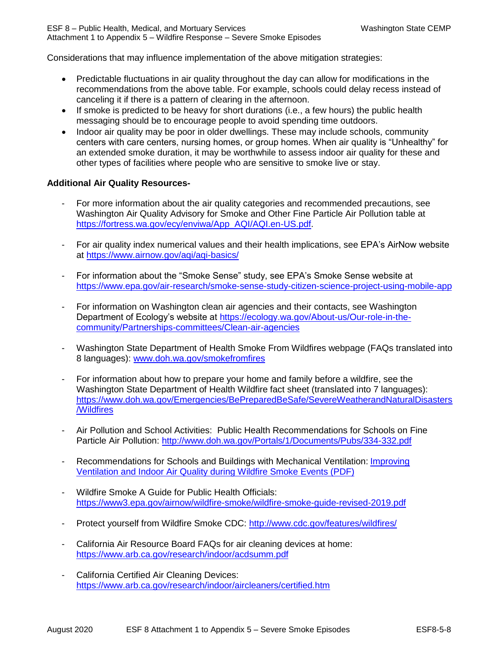ESF 8 – Public Health, Medical, and Mortuary Services Washington State CEMP Attachment 1 to Appendix 5 – Wildfire Response – Severe Smoke Episodes

Considerations that may influence implementation of the above mitigation strategies:

- Predictable fluctuations in air quality throughout the day can allow for modifications in the recommendations from the above table. For example, schools could delay recess instead of canceling it if there is a pattern of clearing in the afternoon.
- If smoke is predicted to be heavy for short durations (i.e., a few hours) the public health messaging should be to encourage people to avoid spending time outdoors.
- Indoor air quality may be poor in older dwellings. These may include schools, community centers with care centers, nursing homes, or group homes. When air quality is "Unhealthy" for an extended smoke duration, it may be worthwhile to assess indoor air quality for these and other types of facilities where people who are sensitive to smoke live or stay.

#### **Additional Air Quality Resources-**

- For more information about the air quality categories and recommended precautions, see Washington Air Quality Advisory for Smoke and Other Fine Particle Air Pollution table at [https://fortress.wa.gov/ecy/enviwa/App\\_AQI/AQI.en-US.pdf.](https://fortress.wa.gov/ecy/enviwa/App_AQI/AQI.en-US.pdf)
- For air quality index numerical values and their health implications, see EPA's AirNow website at<https://www.airnow.gov/aqi/aqi-basics/>
- For information about the "Smoke Sense" study, see EPA's Smoke Sense website at <https://www.epa.gov/air-research/smoke-sense-study-citizen-science-project-using-mobile-app>
- For information on Washington clean air agencies and their contacts, see Washington Department of Ecology's website at [https://ecology.wa.gov/About-us/Our-role-in-the](https://ecology.wa.gov/About-us/Our-role-in-the-community/Partnerships-committees/Clean-air-agencies)[community/Partnerships-committees/Clean-air-agencies](https://ecology.wa.gov/About-us/Our-role-in-the-community/Partnerships-committees/Clean-air-agencies)
- Washington State Department of Health Smoke From Wildfires webpage (FAQs translated into 8 languages): [www.doh.wa.gov/smokefromfires](http://www.doh.wa.gov/smokefromfires)
- For information about how to prepare your home and family before a wildfire, see the Washington State Department of Health Wildfire fact sheet (translated into 7 languages): [https://www.doh.wa.gov/Emergencies/BePreparedBeSafe/SevereWeatherandNaturalDisasters](https://www.doh.wa.gov/Emergencies/BePreparedBeSafe/SevereWeatherandNaturalDisasters/Wildfires) [/Wildfires](https://www.doh.wa.gov/Emergencies/BePreparedBeSafe/SevereWeatherandNaturalDisasters/Wildfires)
- Air Pollution and School Activities: Public Health Recommendations for Schools on Fine Particle Air Pollution:<http://www.doh.wa.gov/Portals/1/Documents/Pubs/334-332.pdf>
- Recommendations for Schools and Buildings with Mechanical Ventilation: [Improving](http://www.doh.wa.gov/Portals/1/Documents/Pubs/333-208.pdf)  [Ventilation and Indoor Air Quality during Wildfire Smoke Events \(PDF\)](http://www.doh.wa.gov/Portals/1/Documents/Pubs/333-208.pdf)
- Wildfire Smoke A Guide for Public Health Officials: <https://www3.epa.gov/airnow/wildfire-smoke/wildfire-smoke-guide-revised-2019.pdf>
- Protect yourself from Wildfire Smoke CDC:<http://www.cdc.gov/features/wildfires/>
- California Air Resource Board FAQs for air cleaning devices at home: <https://www.arb.ca.gov/research/indoor/acdsumm.pdf>
- California Certified Air Cleaning Devices: <https://www.arb.ca.gov/research/indoor/aircleaners/certified.htm>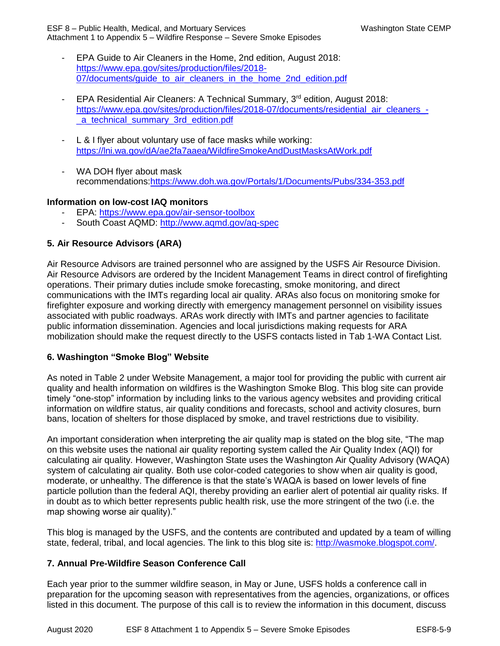ESF 8 – Public Health, Medical, and Mortuary Services Washington State CEMP Attachment 1 to Appendix 5 – Wildfire Response – Severe Smoke Episodes

- EPA Guide to Air Cleaners in the Home, 2nd edition, August 2018: [https://www.epa.gov/sites/production/files/2018-](https://www.epa.gov/sites/production/files/2018-07/documents/guide_to_air_cleaners_in_the_home_2nd_edition.pdf) 07/documents/quide\_to\_air\_cleaners\_in\_the\_home\_2nd\_edition.pdf
- EPA Residential Air Cleaners: A Technical Summary, 3rd edition, August 2018: [https://www.epa.gov/sites/production/files/2018-07/documents/residential\\_air\\_cleaners\\_](https://www.epa.gov/sites/production/files/2018-07/documents/residential_air_cleaners_-_a_technical_summary_3rd_edition.pdf) a technical summary 3rd edition.pdf
- L & I flyer about voluntary use of face masks while working: <https://lni.wa.gov/dA/ae2fa7aaea/WildfireSmokeAndDustMasksAtWork.pdf>
- WA DOH flyer about mask recommendations[:https://www.doh.wa.gov/Portals/1/Documents/Pubs/334-353.pdf](https://www.doh.wa.gov/Portals/1/Documents/Pubs/334-353.pdf)

#### **Information on low-cost IAQ monitors**

- EPA: <https://www.epa.gov/air-sensor-toolbox>
- South Coast AQMD:<http://www.aqmd.gov/aq-spec>

#### **5. Air Resource Advisors (ARA)**

Air Resource Advisors are trained personnel who are assigned by the USFS Air Resource Division. Air Resource Advisors are ordered by the Incident Management Teams in direct control of firefighting operations. Their primary duties include smoke forecasting, smoke monitoring, and direct communications with the IMTs regarding local air quality. ARAs also focus on monitoring smoke for firefighter exposure and working directly with emergency management personnel on visibility issues associated with public roadways. ARAs work directly with IMTs and partner agencies to facilitate public information dissemination. Agencies and local jurisdictions making requests for ARA mobilization should make the request directly to the USFS contacts listed in Tab 1-WA Contact List.

#### **6. Washington "Smoke Blog" Website**

As noted in Table 2 under Website Management, a major tool for providing the public with current air quality and health information on wildfires is the Washington Smoke Blog. This blog site can provide timely "one-stop" information by including links to the various agency websites and providing critical information on wildfire status, air quality conditions and forecasts, school and activity closures, burn bans, location of shelters for those displaced by smoke, and travel restrictions due to visibility.

An important consideration when interpreting the air quality map is stated on the blog site, "The map on this website uses the national air quality reporting system called the Air Quality Index (AQI) for calculating air quality. However, Washington State uses the Washington Air Quality Advisory (WAQA) system of calculating air quality. Both use color-coded categories to show when air quality is good, moderate, or unhealthy. The difference is that the state's WAQA is based on lower levels of fine particle pollution than the federal AQI, thereby providing an earlier alert of potential air quality risks. If in doubt as to which better represents public health risk, use the more stringent of the two (i.e. the map showing worse air quality)."

This blog is managed by the USFS, and the contents are contributed and updated by a team of willing state, federal, tribal, and local agencies. The link to this blog site is: [http://wasmoke.blogspot.com/.](http://wasmoke.blogspot.com/)

#### **7. Annual Pre-Wildfire Season Conference Call**

Each year prior to the summer wildfire season, in May or June, USFS holds a conference call in preparation for the upcoming season with representatives from the agencies, organizations, or offices listed in this document. The purpose of this call is to review the information in this document, discuss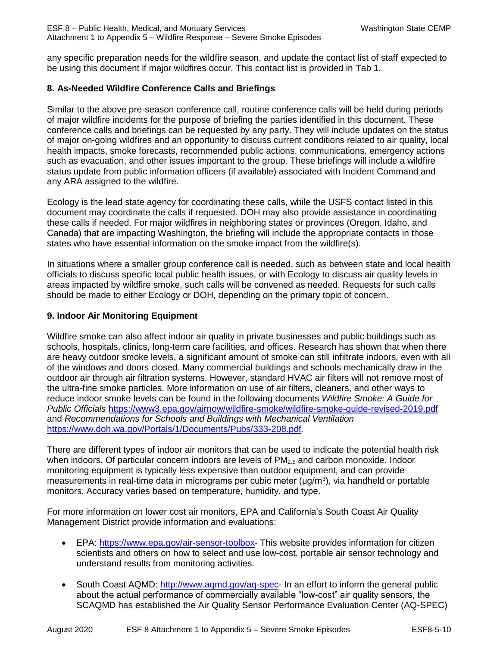any specific preparation needs for the wildfire season, and update the contact list of staff expected to be using this document if major wildfires occur. This contact list is provided in Tab 1.

## **8. As-Needed Wildfire Conference Calls and Briefings**

Similar to the above pre-season conference call, routine conference calls will be held during periods of major wildfire incidents for the purpose of briefing the parties identified in this document. These conference calls and briefings can be requested by any party. They will include updates on the status of major on-going wildfires and an opportunity to discuss current conditions related to air quality, local health impacts, smoke forecasts, recommended public actions, communications, emergency actions such as evacuation, and other issues important to the group. These briefings will include a wildfire status update from public information officers (if available) associated with Incident Command and any ARA assigned to the wildfire.

Ecology is the lead state agency for coordinating these calls, while the USFS contact listed in this document may coordinate the calls if requested. DOH may also provide assistance in coordinating these calls if needed. For major wildfires in neighboring states or provinces (Oregon, Idaho, and Canada) that are impacting Washington, the briefing will include the appropriate contacts in those states who have essential information on the smoke impact from the wildfire(s).

In situations where a smaller group conference call is needed, such as between state and local health officials to discuss specific local public health issues, or with Ecology to discuss air quality levels in areas impacted by wildfire smoke, such calls will be convened as needed. Requests for such calls should be made to either Ecology or DOH, depending on the primary topic of concern.

## **9. Indoor Air Monitoring Equipment**

Wildfire smoke can also affect indoor air quality in private businesses and public buildings such as schools, hospitals, clinics, long-term care facilities, and offices. Research has shown that when there are heavy outdoor smoke levels, a significant amount of smoke can still infiltrate indoors, even with all of the windows and doors closed. Many commercial buildings and schools mechanically draw in the outdoor air through air filtration systems. However, standard HVAC air filters will not remove most of the ultra-fine smoke particles. More information on use of air filters, cleaners, and other ways to reduce indoor smoke levels can be found in the following documents *Wildfire Smoke: A Guide for Public Officials* <https://www3.epa.gov/airnow/wildfire-smoke/wildfire-smoke-guide-revised-2019.pdf> and *Recommendations for Schools and Buildings with Mechanical Ventilation* <https://www.doh.wa.gov/Portals/1/Documents/Pubs/333-208.pdf>*.*

There are different types of indoor air monitors that can be used to indicate the potential health risk when indoors. Of particular concern indoors are levels of  $PM<sub>2.5</sub>$  and carbon monoxide. Indoor monitoring equipment is typically less expensive than outdoor equipment, and can provide measurements in real-time data in micrograms per cubic meter (μg/m<sup>3</sup>), via handheld or portable monitors. Accuracy varies based on temperature, humidity, and type.

For more information on lower cost air monitors, EPA and California's South Coast Air Quality Management District provide information and evaluations:

- EPA: [https://www.epa.gov/air-sensor-toolbox-](https://www.epa.gov/air-sensor-toolbox) This website provides information for citizen scientists and others on how to select and use low-cost, portable air sensor technology and understand results from monitoring activities.
- South Coast AQMD: [http://www.aqmd.gov/aq-spec-](http://www.aqmd.gov/aq-spec) In an effort to inform the general public about the actual performance of commercially available "low-cost" air quality sensors, the SCAQMD has established the Air Quality Sensor Performance Evaluation Center (AQ-SPEC)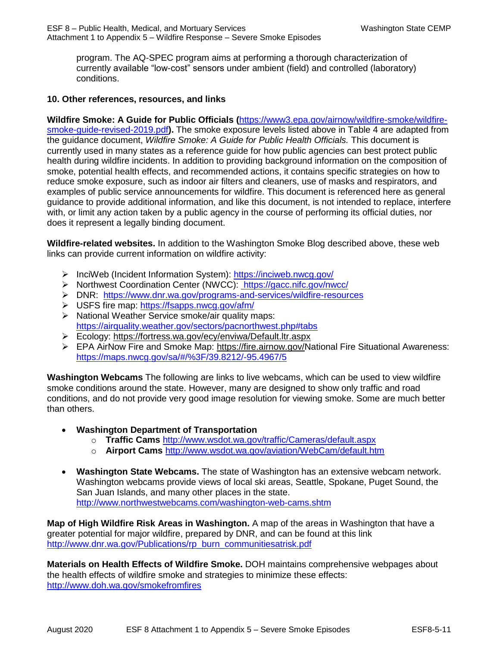program. The AQ-SPEC program aims at performing a thorough characterization of currently available "low-cost" sensors under ambient (field) and controlled (laboratory) conditions.

#### **10. Other references, resources, and links**

**Wildfire Smoke: A Guide for Public Officials (**[https://www3.epa.gov/airnow/wildfire-smoke/wildfire](https://www3.epa.gov/airnow/wildfire-smoke/wildfire-smoke-guide-revised-2019.pdf)[smoke-guide-revised-2019.pdf](https://www3.epa.gov/airnow/wildfire-smoke/wildfire-smoke-guide-revised-2019.pdf)**).** The smoke exposure levels listed above in Table 4 are adapted from the guidance document, *Wildfire Smoke: A Guide for Public Health Officials.* This document is currently used in many states as a reference guide for how public agencies can best protect public health during wildfire incidents. In addition to providing background information on the composition of smoke, potential health effects, and recommended actions, it contains specific strategies on how to reduce smoke exposure, such as indoor air filters and cleaners, use of masks and respirators, and examples of public service announcements for wildfire. This document is referenced here as general guidance to provide additional information, and like this document, is not intended to replace, interfere with, or limit any action taken by a public agency in the course of performing its official duties, nor does it represent a legally binding document.

**Wildfire-related websites.** In addition to the Washington Smoke Blog described above, these web links can provide current information on wildfire activity:

- InciWeb (Incident Information System):<https://inciweb.nwcg.gov/>
- > Northwest Coordination Center (NWCC): <https://gacc.nifc.gov/nwcc/>
- DNR: <https://www.dnr.wa.gov/programs-and-services/wildfire-resources>
- USFS fire map:<https://fsapps.nwcg.gov/afm/>
- $\triangleright$  National Weather Service smoke/air quality maps: <https://airquality.weather.gov/sectors/pacnorthwest.php#tabs>
- Ecology:<https://fortress.wa.gov/ecy/enviwa/Default.ltr.aspx>
- EPA AirNow Fire and Smoke Map: https://fire.airnow.gov/National Fire Situational Awareness: <https://maps.nwcg.gov/sa/#/%3F/39.8212/-95.4967/5>

**Washington Webcams** The following are links to live webcams, which can be used to view wildfire smoke conditions around the state. However, many are designed to show only traffic and road conditions, and do not provide very good image resolution for viewing smoke. Some are much better than others.

- **Washington Department of Transportation**
	- o **Traffic Cams** <http://www.wsdot.wa.gov/traffic/Cameras/default.aspx>
	- o **Airport Cams** <http://www.wsdot.wa.gov/aviation/WebCam/default.htm>
- **Washington State Webcams.** The state of Washington has an extensive webcam network. Washington webcams provide views of local ski areas, Seattle, Spokane, Puget Sound, the San Juan Islands, and many other places in the state. <http://www.northwestwebcams.com/washington-web-cams.shtm>

**Map of High Wildfire Risk Areas in Washington.** A map of the areas in Washington that have a greater potential for major wildfire, prepared by DNR, and can be found at this link [http://www.dnr.wa.gov/Publications/rp\\_burn\\_communitiesatrisk.pdf](http://www.dnr.wa.gov/Publications/rp_burn_communitiesatrisk.pdf)

**Materials on Health Effects of Wildfire Smoke.** DOH maintains comprehensive webpages about the health effects of wildfire smoke and strategies to minimize these effects: <http://www.doh.wa.gov/smokefromfires>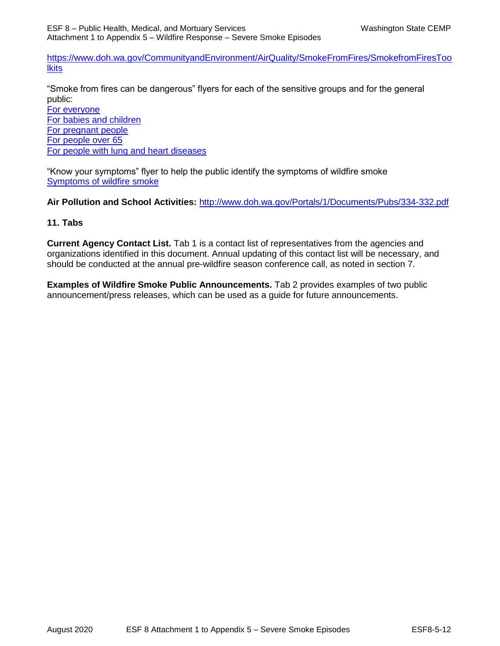[https://www.doh.wa.gov/CommunityandEnvironment/AirQuality/SmokeFromFires/SmokefromFiresToo](https://www.doh.wa.gov/CommunityandEnvironment/AirQuality/SmokeFromFires/SmokefromFiresToolkits) **Ikits** 

"Smoke from fires can be dangerous" flyers for each of the sensitive groups and for the general public:

[For everyone](https://www.doh.wa.gov/Portals/1/Documents/4300/Smoke_sensitive%20populations%20Everyone_English.pdf) [For babies and children](https://www.doh.wa.gov/Portals/1/Documents/4300/Smoke_sensitive%20populations%20Babies%20and%20Children_English.pdf) [For pregnant people](https://www.doh.wa.gov/Portals/1/Documents/4300/Smoke_sensitive%20populations%20Pregnant_English.pdf) [For people over 65](https://www.doh.wa.gov/Portals/1/Documents/4300/Smoke_sensitive%20populations%20Over%2065_English.pdf) [For people with lung and heart diseases](https://www.doh.wa.gov/Portals/1/Documents/4300/Smoke_sensitive%20populations%20Heart%20and%20Lung_English.pdf)

"Know your symptoms" flyer to help the public identify the symptoms of wildfire smoke [Symptoms of wildfire smoke](https://www.doh.wa.gov/Portals/1/Documents/Smoke_Know%20the%20symptoms_English.pdf)

**Air Pollution and School Activities:** <http://www.doh.wa.gov/Portals/1/Documents/Pubs/334-332.pdf>

#### **11. Tabs**

**Current Agency Contact List.** Tab 1 is a contact list of representatives from the agencies and organizations identified in this document. Annual updating of this contact list will be necessary, and should be conducted at the annual pre-wildfire season conference call, as noted in section 7.

**Examples of Wildfire Smoke Public Announcements.** Tab 2 provides examples of two public announcement/press releases, which can be used as a guide for future announcements.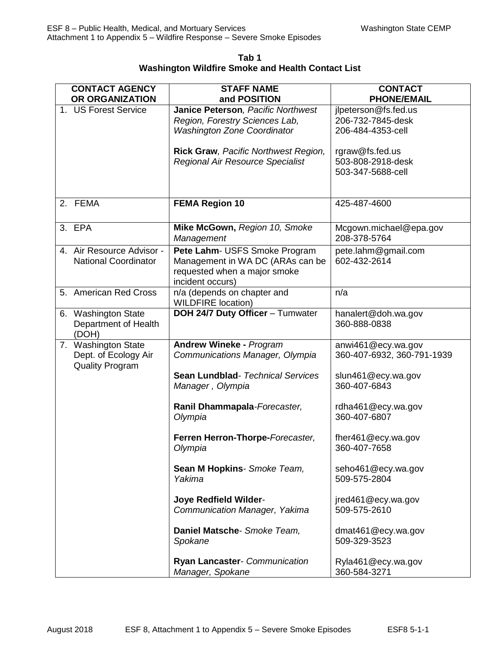**Tab 1 Washington Wildfire Smoke and Health Contact List**

| <b>CONTACT AGENCY</b><br>OR ORGANIZATION                              | <b>STAFF NAME</b><br>and POSITION                                                                                     | <b>CONTACT</b><br><b>PHONE/EMAIL</b>                           |
|-----------------------------------------------------------------------|-----------------------------------------------------------------------------------------------------------------------|----------------------------------------------------------------|
| 1. US Forest Service                                                  | Janice Peterson, Pacific Northwest<br>Region, Forestry Sciences Lab,<br><b>Washington Zone Coordinator</b>            | jlpeterson@fs.fed.us<br>206-732-7845-desk<br>206-484-4353-cell |
|                                                                       | Rick Graw, Pacific Northwest Region,<br>Regional Air Resource Specialist                                              | rgraw@fs.fed.us<br>503-808-2918-desk<br>503-347-5688-cell      |
| 2. FEMA                                                               | <b>FEMA Region 10</b>                                                                                                 | 425-487-4600                                                   |
| 3. EPA                                                                | Mike McGown, Region 10, Smoke<br>Management                                                                           | Mcgown.michael@epa.gov<br>208-378-5764                         |
| 4. Air Resource Advisor -<br><b>National Coordinator</b>              | Pete Lahm- USFS Smoke Program<br>Management in WA DC (ARAs can be<br>requested when a major smoke<br>incident occurs) | pete.lahm@gmail.com<br>602-432-2614                            |
| 5. American Red Cross                                                 | n/a (depends on chapter and<br><b>WILDFIRE location)</b>                                                              | n/a                                                            |
| 6. Washington State<br>Department of Health<br>(DOH)                  | DOH 24/7 Duty Officer - Tumwater                                                                                      | hanalert@doh.wa.gov<br>360-888-0838                            |
| 7. Washington State<br>Dept. of Ecology Air<br><b>Quality Program</b> | <b>Andrew Wineke - Program</b><br>Communications Manager, Olympia                                                     | anwi461@ecy.wa.gov<br>360-407-6932, 360-791-1939               |
|                                                                       | Sean Lundblad- Technical Services<br>Manager, Olympia                                                                 | slun461@ecy.wa.gov<br>360-407-6843                             |
|                                                                       | Ranil Dhammapala-Forecaster,<br>Olympia                                                                               | rdha461@ecy.wa.gov<br>360-407-6807                             |
|                                                                       | Ferren Herron-Thorpe-Forecaster,<br>Olympia                                                                           | fher461@ecy.wa.gov<br>360-407-7658                             |
|                                                                       | Sean M Hopkins- Smoke Team,<br>Yakima                                                                                 | seho461@ecy.wa.gov<br>509-575-2804                             |
|                                                                       | <b>Joye Redfield Wilder-</b><br>Communication Manager, Yakima                                                         | jred461@ecy.wa.gov<br>509-575-2610                             |
|                                                                       | Daniel Matsche- Smoke Team,<br>Spokane                                                                                | dmat461@ecy.wa.gov<br>509-329-3523                             |
|                                                                       | Ryan Lancaster- Communication<br>Manager, Spokane                                                                     | Ryla461@ecy.wa.gov<br>360-584-3271                             |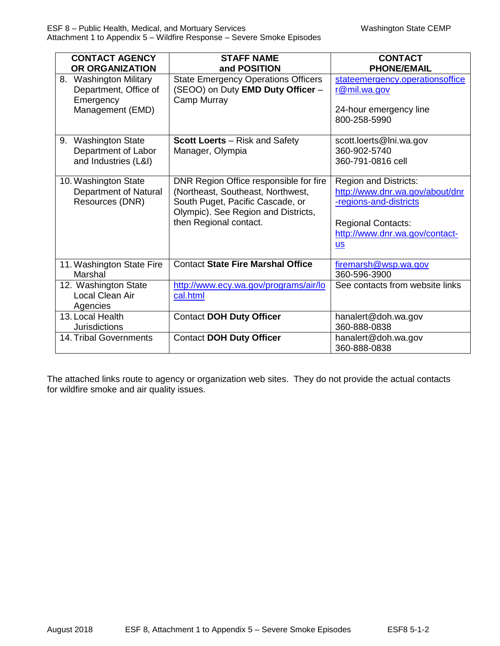| <b>CONTACT AGENCY</b><br>OR ORGANIZATION                                         | <b>STAFF NAME</b><br>and POSITION                                                                                                                                                | <b>CONTACT</b><br><b>PHONE/EMAIL</b>                                                                                                                            |
|----------------------------------------------------------------------------------|----------------------------------------------------------------------------------------------------------------------------------------------------------------------------------|-----------------------------------------------------------------------------------------------------------------------------------------------------------------|
| 8. Washington Military<br>Department, Office of<br>Emergency<br>Management (EMD) | <b>State Emergency Operations Officers</b><br>(SEOO) on Duty EMD Duty Officer -<br>Camp Murray                                                                                   | stateemergency.operationsoffice<br>r@mil.wa.gov<br>24-hour emergency line<br>800-258-5990                                                                       |
| 9. Washington State<br>Department of Labor<br>and Industries (L&I)               | <b>Scott Loerts</b> – Risk and Safety<br>Manager, Olympia                                                                                                                        | scott.loerts@lni.wa.gov<br>360-902-5740<br>360-791-0816 cell                                                                                                    |
| 10. Washington State<br>Department of Natural<br>Resources (DNR)                 | DNR Region Office responsible for fire<br>(Northeast, Southeast, Northwest,<br>South Puget, Pacific Cascade, or<br>Olympic). See Region and Districts,<br>then Regional contact. | <b>Region and Districts:</b><br>http://www.dnr.wa.gov/about/dnr<br>-regions-and-districts<br><b>Regional Contacts:</b><br>http://www.dnr.wa.gov/contact-<br>$S$ |
| 11. Washington State Fire<br>Marshal                                             | <b>Contact State Fire Marshal Office</b>                                                                                                                                         | firemarsh@wsp.wa.gov<br>360-596-3900                                                                                                                            |
| 12. Washington State<br>Local Clean Air<br>Agencies                              | http://www.ecy.wa.gov/programs/air/lo<br>cal.html                                                                                                                                | See contacts from website links                                                                                                                                 |
| 13. Local Health<br><b>Jurisdictions</b>                                         | <b>Contact DOH Duty Officer</b>                                                                                                                                                  | hanalert@doh.wa.gov<br>360-888-0838                                                                                                                             |
| 14. Tribal Governments                                                           | <b>Contact DOH Duty Officer</b>                                                                                                                                                  | hanalert@doh.wa.gov<br>360-888-0838                                                                                                                             |

The attached links route to agency or organization web sites. They do not provide the actual contacts for wildfire smoke and air quality issues.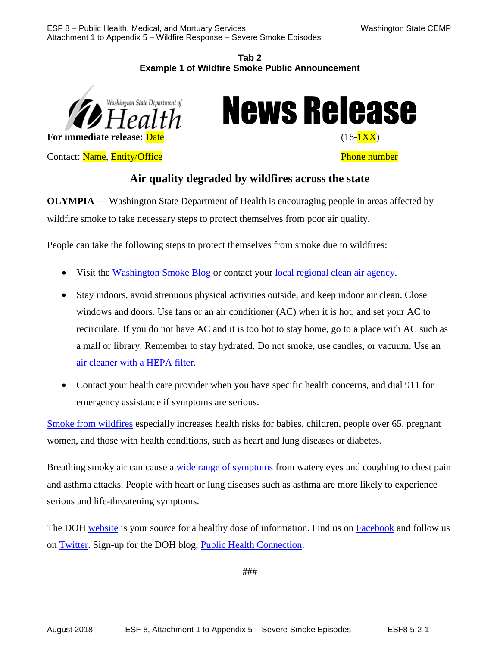#### **Tab 2 Example 1 of Wildfire Smoke Public Announcement**



News Release

Contact: Name, Entity/Office **Phone number** Phone number

# **Air quality degraded by wildfires across the state**

**OLYMPIA** — Washington State Department of Health is encouraging people in areas affected by wildfire smoke to take necessary steps to protect themselves from poor air quality.

People can take the following steps to protect themselves from smoke due to wildfires:

- Visit the [Washington Smoke Blog](http://wasmoke.blogspot.com/) or contact your <u>local regional clean air agency</u>.
- Stay indoors, avoid strenuous physical activities outside, and keep indoor air clean. Close windows and doors. Use fans or an air conditioner (AC) when it is hot, and set your AC to recirculate. If you do not have AC and it is too hot to stay home, go to a place with AC such as a mall or library. Remember to stay hydrated. Do not smoke, use candles, or vacuum. Use an [air cleaner with a HEPA filter.](https://www.epa.gov/indoor-air-quality-iaq/air-cleaners-and-air-filters-home)
- Contact your health care provider when you have specific health concerns, and dial 911 for emergency assistance if symptoms are serious.

[Smoke from wildfires](https://www.doh.wa.gov/CommunityandEnvironment/AirQuality/SmokeFromFires) especially increases health risks for babies, children, people over 65, pregnant women, and those with health conditions, such as heart and lung diseases or diabetes.

Breathing smoky air can cause a [wide range of symptoms](https://www.doh.wa.gov/Portals/1/Documents/Smoke_Know%20the%20symptoms_English.pdf) from watery eyes and coughing to chest pain and asthma attacks. People with heart or lung diseases such as asthma are more likely to experience serious and life-threatening symptoms.

The DOH [website](https://www.doh.wa.gov/) is your source for a healthy dose of information. Find us on [Facebook](https://www.facebook.com/WADeptHealth/) and follow us on **Twitter**. Sign-up for the DOH blog, **Public Health Connection**.

###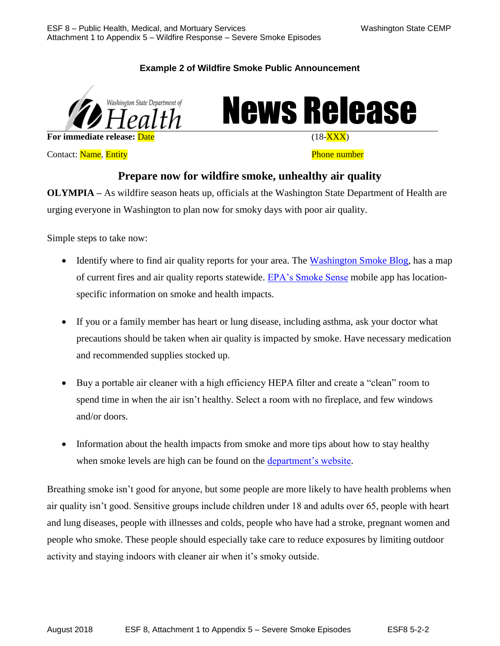## **Example 2 of Wildfire Smoke Public Announcement**





**Contact:** Name, Entity **Phone number Phone number** 

## **Prepare now for wildfire smoke, unhealthy air quality**

**OLYMPIA –** As wildfire season heats up, officials at the Washington State Department of Health are urging everyone in Washington to plan now for smoky days with poor air quality.

Simple steps to take now:

- Identify where to find air quality reports for your area. The [Washington Smoke Blog,](http://wasmoke.blogspot.com/) has a map of current fires and air quality reports statewide. [EPA's Smoke Sense](https://www.epa.gov/air-research/smoke-sense-study-citizen-science-project-using-mobile-app) mobile app has locationspecific information on smoke and health impacts.
- If you or a family member has heart or lung disease, including asthma, ask your doctor what precautions should be taken when air quality is impacted by smoke. Have necessary medication and recommended supplies stocked up.
- Buy a portable air cleaner with a high efficiency HEPA filter and create a "clean" room to spend time in when the air isn't healthy. Select a room with no fireplace, and few windows and/or doors.
- Information about the health impacts from smoke and more tips about how to stay healthy when smoke levels are high can be found on the [department's website.](https://www.doh.wa.gov/CommunityandEnvironment/AirQuality/SmokeFromFires)

Breathing smoke isn't good for anyone, but some people are more likely to have health problems when air quality isn't good. Sensitive groups include children under 18 and adults over 65, people with heart and lung diseases, people with illnesses and colds, people who have had a stroke, pregnant women and people who smoke. These people should especially take care to reduce exposures by limiting outdoor activity and staying indoors with cleaner air when it's smoky outside.